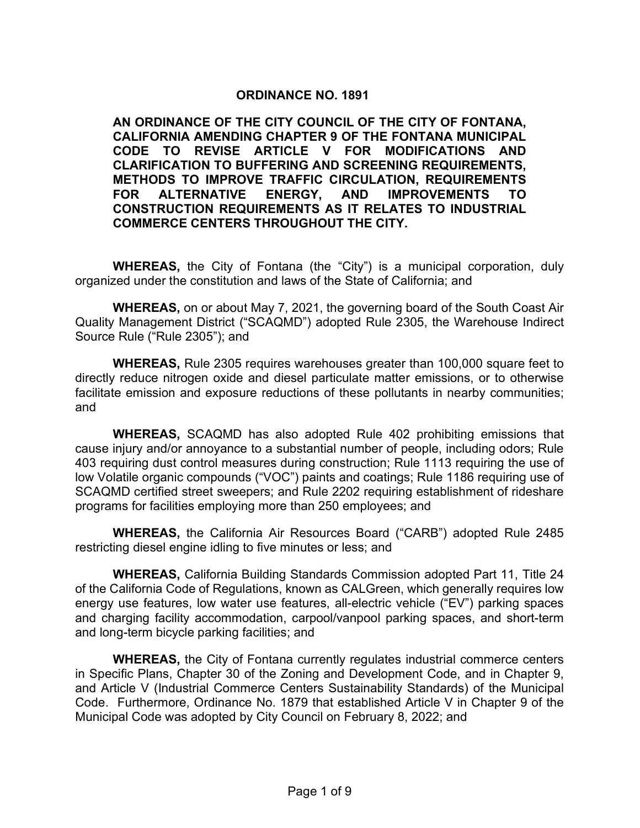#### ORDINANCE NO. 1891

AN ORDINANCE OF THE CITY COUNCIL OF THE CITY OF FONTANA, CALIFORNIA AMENDING CHAPTER 9 OF THE FONTANA MUNICIPAL CODE TO REVISE ARTICLE V FOR MODIFICATIONS AND CLARIFICATION TO BUFFERING AND SCREENING REQUIREMENTS, METHODS TO IMPROVE TRAFFIC CIRCULATION, REQUIREMENTS FOR ALTERNATIVE ENERGY, AND IMPROVEMENTS TO CONSTRUCTION REQUIREMENTS AS IT RELATES TO INDUSTRIAL COMMERCE CENTERS THROUGHOUT THE CITY.

WHEREAS, the City of Fontana (the "City") is a municipal corporation, duly organized under the constitution and laws of the State of California; and

WHEREAS, on or about May 7, 2021, the governing board of the South Coast Air Quality Management District ("SCAQMD") adopted Rule 2305, the Warehouse Indirect Source Rule ("Rule 2305"); and

WHEREAS, Rule 2305 requires warehouses greater than 100,000 square feet to directly reduce nitrogen oxide and diesel particulate matter emissions, or to otherwise facilitate emission and exposure reductions of these pollutants in nearby communities; and

WHEREAS, SCAQMD has also adopted Rule 402 prohibiting emissions that cause injury and/or annoyance to a substantial number of people, including odors; Rule 403 requiring dust control measures during construction; Rule 1113 requiring the use of low Volatile organic compounds ("VOC") paints and coatings; Rule 1186 requiring use of SCAQMD certified street sweepers; and Rule 2202 requiring establishment of rideshare programs for facilities employing more than 250 employees; and

WHEREAS, the California Air Resources Board ("CARB") adopted Rule 2485 restricting diesel engine idling to five minutes or less; and

WHEREAS, California Building Standards Commission adopted Part 11, Title 24 of the California Code of Regulations, known as CALGreen, which generally requires low energy use features, low water use features, all-electric vehicle ("EV") parking spaces and charging facility accommodation, carpool/vanpool parking spaces, and short-term and long-term bicycle parking facilities; and

WHEREAS, the City of Fontana currently regulates industrial commerce centers in Specific Plans, Chapter 30 of the Zoning and Development Code, and in Chapter 9, and Article V (Industrial Commerce Centers Sustainability Standards) of the Municipal Code. Furthermore, Ordinance No. 1879 that established Article V in Chapter 9 of the Municipal Code was adopted by City Council on February 8, 2022; and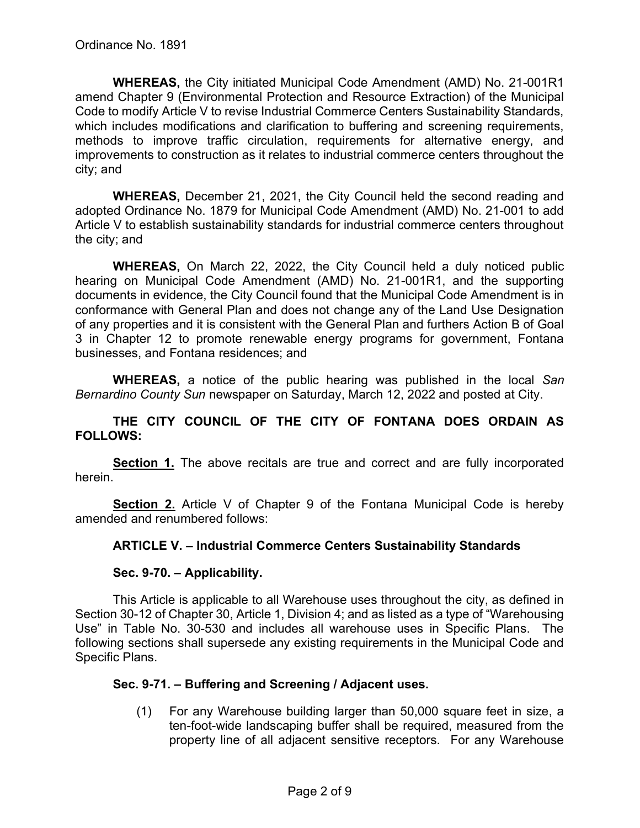WHEREAS, the City initiated Municipal Code Amendment (AMD) No. 21-001R1 amend Chapter 9 (Environmental Protection and Resource Extraction) of the Municipal Code to modify Article V to revise Industrial Commerce Centers Sustainability Standards, which includes modifications and clarification to buffering and screening requirements, methods to improve traffic circulation, requirements for alternative energy, and improvements to construction as it relates to industrial commerce centers throughout the city; and

WHEREAS, December 21, 2021, the City Council held the second reading and adopted Ordinance No. 1879 for Municipal Code Amendment (AMD) No. 21-001 to add Article V to establish sustainability standards for industrial commerce centers throughout the city; and

WHEREAS, On March 22, 2022, the City Council held a duly noticed public hearing on Municipal Code Amendment (AMD) No. 21-001R1, and the supporting documents in evidence, the City Council found that the Municipal Code Amendment is in conformance with General Plan and does not change any of the Land Use Designation of any properties and it is consistent with the General Plan and furthers Action B of Goal 3 in Chapter 12 to promote renewable energy programs for government, Fontana businesses, and Fontana residences; and

WHEREAS, a notice of the public hearing was published in the local San Bernardino County Sun newspaper on Saturday, March 12, 2022 and posted at City.

#### THE CITY COUNCIL OF THE CITY OF FONTANA DOES ORDAIN AS FOLLOWS:

Section 1. The above recitals are true and correct and are fully incorporated herein.

Section 2. Article V of Chapter 9 of the Fontana Municipal Code is hereby amended and renumbered follows:

# ARTICLE V. – Industrial Commerce Centers Sustainability Standards

### Sec. 9-70. – Applicability.

This Article is applicable to all Warehouse uses throughout the city, as defined in Section 30-12 of Chapter 30, Article 1, Division 4; and as listed as a type of "Warehousing Use" in Table No. 30-530 and includes all warehouse uses in Specific Plans. The following sections shall supersede any existing requirements in the Municipal Code and Specific Plans.

#### Sec. 9-71. – Buffering and Screening / Adjacent uses.

(1) For any Warehouse building larger than 50,000 square feet in size, a ten-foot-wide landscaping buffer shall be required, measured from the property line of all adjacent sensitive receptors. For any Warehouse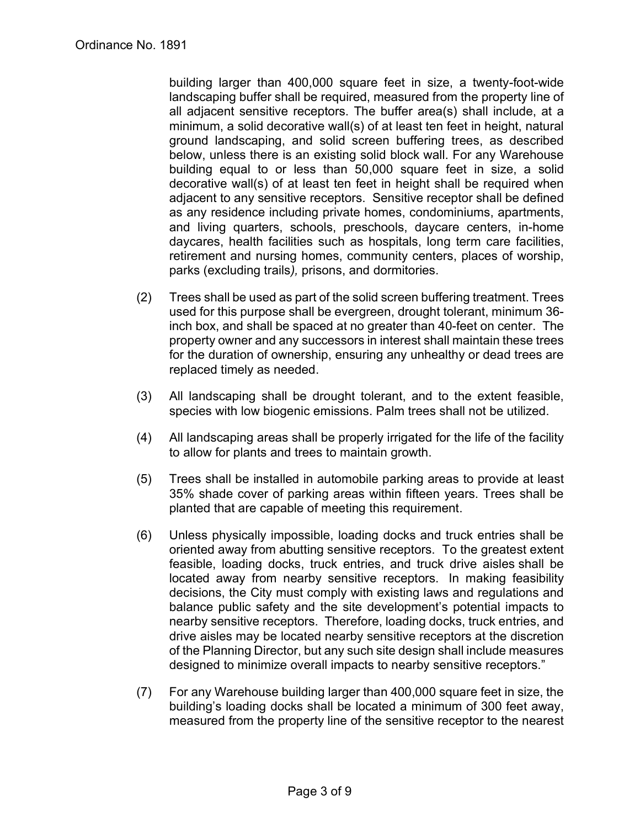building larger than 400,000 square feet in size, a twenty-foot-wide landscaping buffer shall be required, measured from the property line of all adjacent sensitive receptors. The buffer area(s) shall include, at a minimum, a solid decorative wall(s) of at least ten feet in height, natural ground landscaping, and solid screen buffering trees, as described below, unless there is an existing solid block wall. For any Warehouse building equal to or less than 50,000 square feet in size, a solid decorative wall(s) of at least ten feet in height shall be required when adjacent to any sensitive receptors. Sensitive receptor shall be defined as any residence including private homes, condominiums, apartments, and living quarters, schools, preschools, daycare centers, in-home daycares, health facilities such as hospitals, long term care facilities, retirement and nursing homes, community centers, places of worship, parks (excluding trails), prisons, and dormitories.

- (2) Trees shall be used as part of the solid screen buffering treatment. Trees used for this purpose shall be evergreen, drought tolerant, minimum 36 inch box, and shall be spaced at no greater than 40-feet on center. The property owner and any successors in interest shall maintain these trees for the duration of ownership, ensuring any unhealthy or dead trees are replaced timely as needed.
- (3) All landscaping shall be drought tolerant, and to the extent feasible, species with low biogenic emissions. Palm trees shall not be utilized.
- (4) All landscaping areas shall be properly irrigated for the life of the facility to allow for plants and trees to maintain growth.
- (5) Trees shall be installed in automobile parking areas to provide at least 35% shade cover of parking areas within fifteen years. Trees shall be planted that are capable of meeting this requirement.
- (6) Unless physically impossible, loading docks and truck entries shall be oriented away from abutting sensitive receptors. To the greatest extent feasible, loading docks, truck entries, and truck drive aisles shall be located away from nearby sensitive receptors. In making feasibility decisions, the City must comply with existing laws and regulations and balance public safety and the site development's potential impacts to nearby sensitive receptors. Therefore, loading docks, truck entries, and drive aisles may be located nearby sensitive receptors at the discretion of the Planning Director, but any such site design shall include measures designed to minimize overall impacts to nearby sensitive receptors."
- (7) For any Warehouse building larger than 400,000 square feet in size, the building's loading docks shall be located a minimum of 300 feet away, measured from the property line of the sensitive receptor to the nearest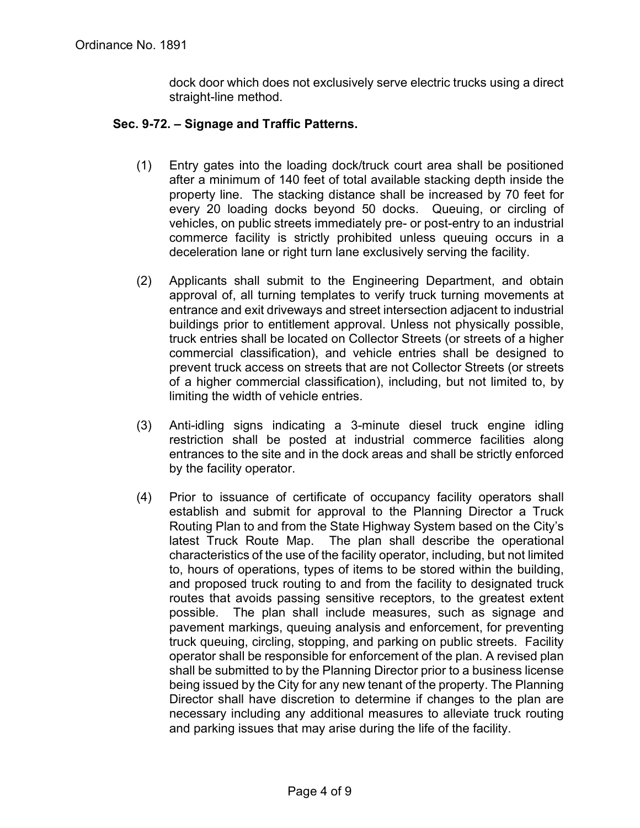dock door which does not exclusively serve electric trucks using a direct straight-line method.

### Sec. 9-72. – Signage and Traffic Patterns.

- (1) Entry gates into the loading dock/truck court area shall be positioned after a minimum of 140 feet of total available stacking depth inside the property line. The stacking distance shall be increased by 70 feet for every 20 loading docks beyond 50 docks. Queuing, or circling of vehicles, on public streets immediately pre- or post-entry to an industrial commerce facility is strictly prohibited unless queuing occurs in a deceleration lane or right turn lane exclusively serving the facility.
- (2) Applicants shall submit to the Engineering Department, and obtain approval of, all turning templates to verify truck turning movements at entrance and exit driveways and street intersection adjacent to industrial buildings prior to entitlement approval. Unless not physically possible, truck entries shall be located on Collector Streets (or streets of a higher commercial classification), and vehicle entries shall be designed to prevent truck access on streets that are not Collector Streets (or streets of a higher commercial classification), including, but not limited to, by limiting the width of vehicle entries.
- (3) Anti-idling signs indicating a 3-minute diesel truck engine idling restriction shall be posted at industrial commerce facilities along entrances to the site and in the dock areas and shall be strictly enforced by the facility operator.
- (4) Prior to issuance of certificate of occupancy facility operators shall establish and submit for approval to the Planning Director a Truck Routing Plan to and from the State Highway System based on the City's latest Truck Route Map. The plan shall describe the operational characteristics of the use of the facility operator, including, but not limited to, hours of operations, types of items to be stored within the building, and proposed truck routing to and from the facility to designated truck routes that avoids passing sensitive receptors, to the greatest extent possible. The plan shall include measures, such as signage and pavement markings, queuing analysis and enforcement, for preventing truck queuing, circling, stopping, and parking on public streets. Facility operator shall be responsible for enforcement of the plan. A revised plan shall be submitted to by the Planning Director prior to a business license being issued by the City for any new tenant of the property. The Planning Director shall have discretion to determine if changes to the plan are necessary including any additional measures to alleviate truck routing and parking issues that may arise during the life of the facility.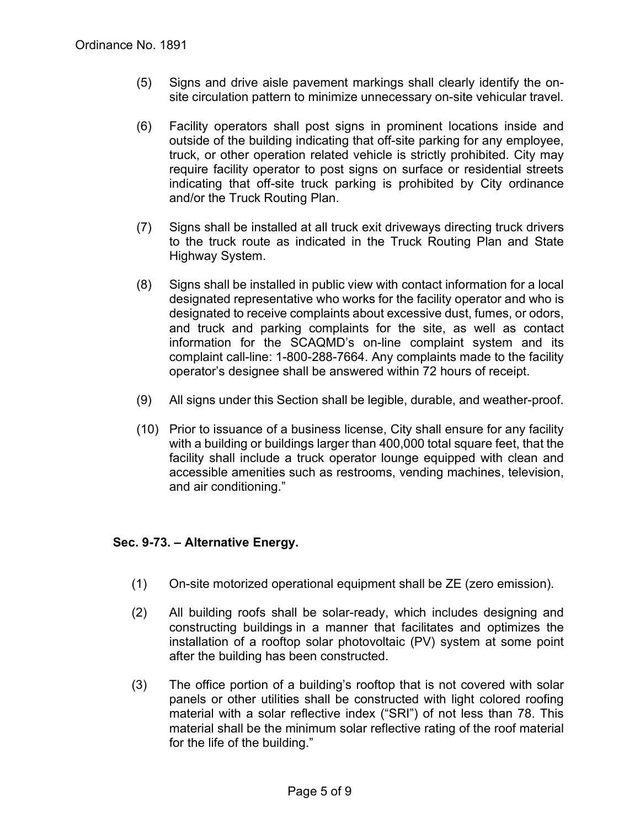- (5) Signs and drive aisle pavement markings shall clearly identify the onsite circulation pattern to minimize unnecessary on-site vehicular travel.
- (6) Facility operators shall post signs in prominent locations inside and outside of the building indicating that off-site parking for any employee, truck, or other operation related vehicle is strictly prohibited. City may require facility operator to post signs on surface or residential streets indicating that off-site truck parking is prohibited by City ordinance and/or the Truck Routing Plan.
- (7) Signs shall be installed at all truck exit driveways directing truck drivers to the truck route as indicated in the Truck Routing Plan and State Highway System.
- (8) Signs shall be installed in public view with contact information for a local designated representative who works for the facility operator and who is designated to receive complaints about excessive dust, fumes, or odors, and truck and parking complaints for the site, as well as contact information for the SCAQMD's on-line complaint system and its complaint call-line: 1-800-288-7664. Any complaints made to the facility operator's designee shall be answered within 72 hours of receipt.
- (9) All signs under this Section shall be legible, durable, and weather-proof.
- (10) Prior to issuance of a business license, City shall ensure for any facility with a building or buildings larger than 400,000 total square feet, that the facility shall include a truck operator lounge equipped with clean and accessible amenities such as restrooms, vending machines, television, and air conditioning."

#### Sec. 9-73. – Alternative Energy.

- (1) On-site motorized operational equipment shall be ZE (zero emission).
- (2) All building roofs shall be solar-ready, which includes designing and constructing buildings in a manner that facilitates and optimizes the installation of a rooftop solar photovoltaic (PV) system at some point after the building has been constructed.
- (3) The office portion of a building's rooftop that is not covered with solar panels or other utilities shall be constructed with light colored roofing material with a solar reflective index ("SRI") of not less than 78. This material shall be the minimum solar reflective rating of the roof material for the life of the building."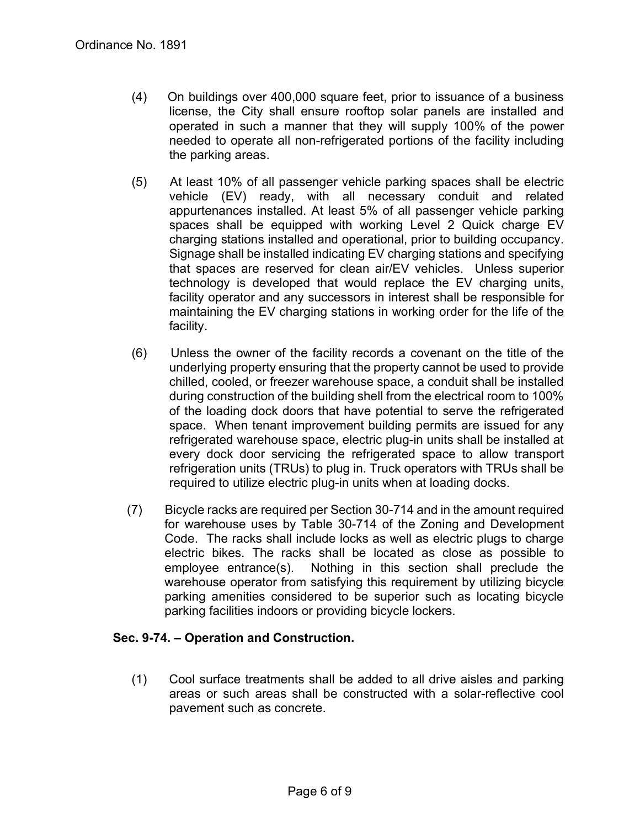- (4) On buildings over 400,000 square feet, prior to issuance of a business license, the City shall ensure rooftop solar panels are installed and operated in such a manner that they will supply 100% of the power needed to operate all non-refrigerated portions of the facility including the parking areas.
- (5) At least 10% of all passenger vehicle parking spaces shall be electric vehicle (EV) ready, with all necessary conduit and related appurtenances installed. At least 5% of all passenger vehicle parking spaces shall be equipped with working Level 2 Quick charge EV charging stations installed and operational, prior to building occupancy. Signage shall be installed indicating EV charging stations and specifying that spaces are reserved for clean air/EV vehicles. Unless superior technology is developed that would replace the EV charging units, facility operator and any successors in interest shall be responsible for maintaining the EV charging stations in working order for the life of the facility.
- (6) Unless the owner of the facility records a covenant on the title of the underlying property ensuring that the property cannot be used to provide chilled, cooled, or freezer warehouse space, a conduit shall be installed during construction of the building shell from the electrical room to 100% of the loading dock doors that have potential to serve the refrigerated space. When tenant improvement building permits are issued for any refrigerated warehouse space, electric plug-in units shall be installed at every dock door servicing the refrigerated space to allow transport refrigeration units (TRUs) to plug in. Truck operators with TRUs shall be required to utilize electric plug-in units when at loading docks.
- (7) Bicycle racks are required per Section 30-714 and in the amount required for warehouse uses by Table 30-714 of the Zoning and Development Code. The racks shall include locks as well as electric plugs to charge electric bikes. The racks shall be located as close as possible to employee entrance(s). Nothing in this section shall preclude the warehouse operator from satisfying this requirement by utilizing bicycle parking amenities considered to be superior such as locating bicycle parking facilities indoors or providing bicycle lockers.

#### Sec. 9-74. – Operation and Construction.

(1) Cool surface treatments shall be added to all drive aisles and parking areas or such areas shall be constructed with a solar-reflective cool pavement such as concrete.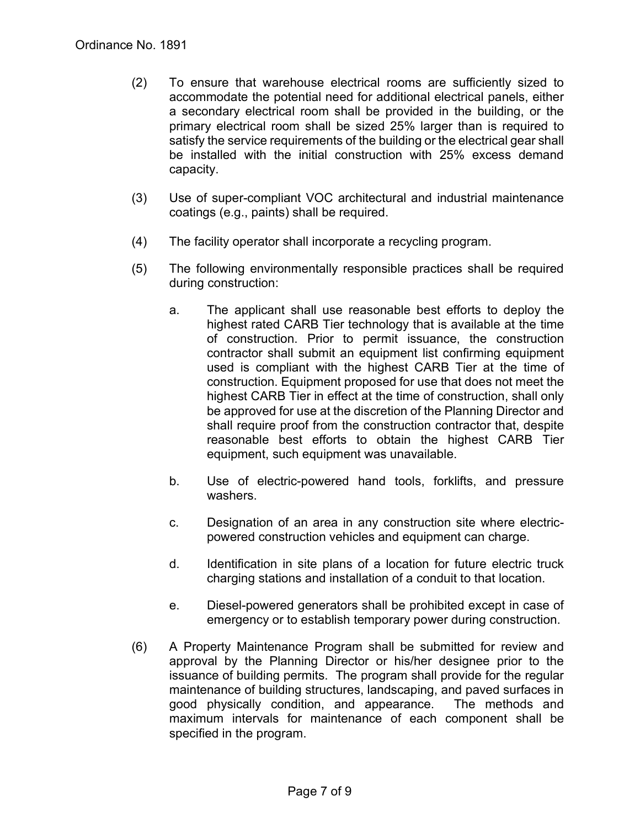- (2) To ensure that warehouse electrical rooms are sufficiently sized to accommodate the potential need for additional electrical panels, either a secondary electrical room shall be provided in the building, or the primary electrical room shall be sized 25% larger than is required to satisfy the service requirements of the building or the electrical gear shall be installed with the initial construction with 25% excess demand capacity.
- (3) Use of super-compliant VOC architectural and industrial maintenance coatings (e.g., paints) shall be required.
- (4) The facility operator shall incorporate a recycling program.
- (5) The following environmentally responsible practices shall be required during construction:
	- a. The applicant shall use reasonable best efforts to deploy the highest rated CARB Tier technology that is available at the time of construction. Prior to permit issuance, the construction contractor shall submit an equipment list confirming equipment used is compliant with the highest CARB Tier at the time of construction. Equipment proposed for use that does not meet the highest CARB Tier in effect at the time of construction, shall only be approved for use at the discretion of the Planning Director and shall require proof from the construction contractor that, despite reasonable best efforts to obtain the highest CARB Tier equipment, such equipment was unavailable.
	- b. Use of electric-powered hand tools, forklifts, and pressure washers.
	- c. Designation of an area in any construction site where electricpowered construction vehicles and equipment can charge.
	- d. Identification in site plans of a location for future electric truck charging stations and installation of a conduit to that location.
	- e. Diesel-powered generators shall be prohibited except in case of emergency or to establish temporary power during construction.
- (6) A Property Maintenance Program shall be submitted for review and approval by the Planning Director or his/her designee prior to the issuance of building permits. The program shall provide for the regular maintenance of building structures, landscaping, and paved surfaces in good physically condition, and appearance. The methods and maximum intervals for maintenance of each component shall be specified in the program.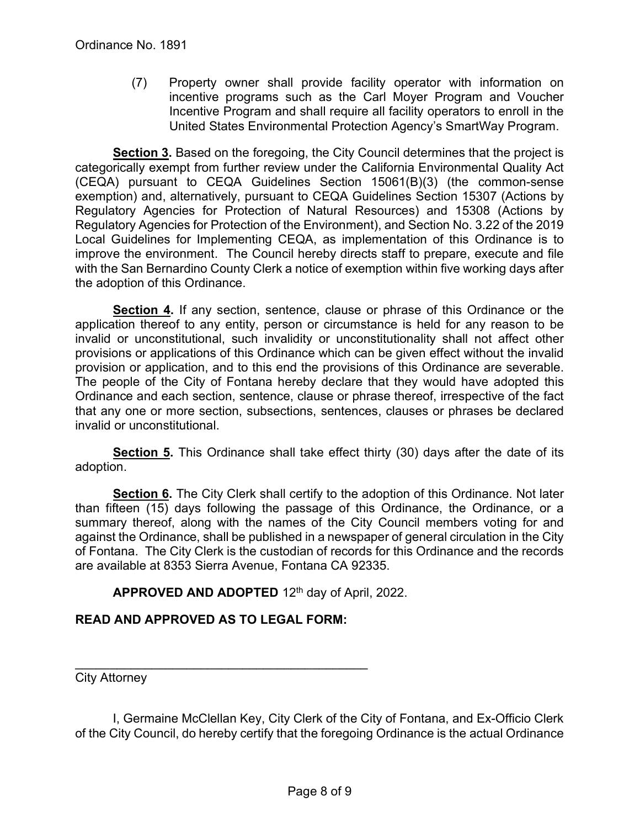(7) Property owner shall provide facility operator with information on incentive programs such as the Carl Moyer Program and Voucher Incentive Program and shall require all facility operators to enroll in the United States Environmental Protection Agency's SmartWay Program.

Section 3. Based on the foregoing, the City Council determines that the project is categorically exempt from further review under the California Environmental Quality Act (CEQA) pursuant to CEQA Guidelines Section 15061(B)(3) (the common-sense exemption) and, alternatively, pursuant to CEQA Guidelines Section 15307 (Actions by Regulatory Agencies for Protection of Natural Resources) and 15308 (Actions by Regulatory Agencies for Protection of the Environment), and Section No. 3.22 of the 2019 Local Guidelines for Implementing CEQA, as implementation of this Ordinance is to improve the environment. The Council hereby directs staff to prepare, execute and file with the San Bernardino County Clerk a notice of exemption within five working days after the adoption of this Ordinance.

Section 4. If any section, sentence, clause or phrase of this Ordinance or the application thereof to any entity, person or circumstance is held for any reason to be invalid or unconstitutional, such invalidity or unconstitutionality shall not affect other provisions or applications of this Ordinance which can be given effect without the invalid provision or application, and to this end the provisions of this Ordinance are severable. The people of the City of Fontana hereby declare that they would have adopted this Ordinance and each section, sentence, clause or phrase thereof, irrespective of the fact that any one or more section, subsections, sentences, clauses or phrases be declared invalid or unconstitutional.

**Section 5.** This Ordinance shall take effect thirty (30) days after the date of its adoption.

**Section 6.** The City Clerk shall certify to the adoption of this Ordinance. Not later than fifteen (15) days following the passage of this Ordinance, the Ordinance, or a summary thereof, along with the names of the City Council members voting for and against the Ordinance, shall be published in a newspaper of general circulation in the City of Fontana. The City Clerk is the custodian of records for this Ordinance and the records are available at 8353 Sierra Avenue, Fontana CA 92335.

APPROVED AND ADOPTED 12<sup>th</sup> day of April, 2022.

# READ AND APPROVED AS TO LEGAL FORM:

 $\overline{\phantom{a}}$  , and the set of the set of the set of the set of the set of the set of the set of the set of the set of the set of the set of the set of the set of the set of the set of the set of the set of the set of the s City Attorney

I, Germaine McClellan Key, City Clerk of the City of Fontana, and Ex-Officio Clerk of the City Council, do hereby certify that the foregoing Ordinance is the actual Ordinance